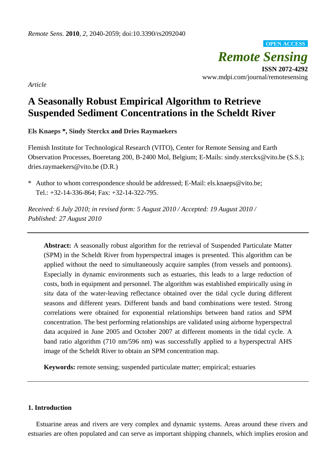*Remote Sensing* **ISSN 2072-4292** www.mdpi.com/journal/remotesensing **OPEN ACCESS**

*Article*

# **A Seasonally Robust Empirical Algorithm to Retrieve Suspended Sediment Concentrations in the Scheldt River**

**Els Knaeps \*, Sindy Sterckx and Dries Raymaekers**

Flemish Institute for Technological Research (VITO), Center for Remote Sensing and Earth Observation Processes, Boeretang 200, B-2400 Mol, Belgium; E-Mails: sindy.sterckx@vito.be (S.S.); dries.raymaekers@vito.be (D.R.)

\* Author to whom correspondence should be addressed; E-Mail: els.knaeps@vito.be; Tel.: +32-14-336-864; Fax: +32-14-322-795.

*Received: 6 July 2010; in revised form: 5 August 2010 / Accepted: 19 August 2010 / Published: 27 August 2010*

**Abstract:** A seasonally robust algorithm for the retrieval of Suspended Particulate Matter (SPM) in the Scheldt River from hyperspectral images is presented. This algorithm can be applied without the need to simultaneously acquire samples (from vessels and pontoons). Especially in dynamic environments such as estuaries, this leads to a large reduction of costs, both in equipment and personnel. The algorithm was established empirically using *in situ* data of the water-leaving reflectance obtained over the tidal cycle during different seasons and different years. Different bands and band combinations were tested. Strong correlations were obtained for exponential relationships between band ratios and SPM concentration. The best performing relationships are validated using airborne hyperspectral data acquired in June 2005 and October 2007 at different moments in the tidal cycle. A band ratio algorithm (710 nm/596 nm) was successfully applied to a hyperspectral AHS image of the Scheldt River to obtain an SPM concentration map.

**Keywords:** remote sensing; suspended particulate matter; empirical; estuaries

# **1. Introduction**

Estuarine areas and rivers are very complex and dynamic systems. Areas around these rivers and estuaries are often populated and can serve as important shipping channels, which implies erosion and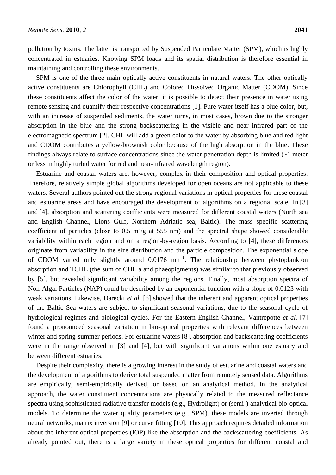pollution by toxins. The latter is transported by Suspended Particulate Matter (SPM), which is highly concentrated in estuaries. Knowing SPM loads and its spatial distribution is therefore essential in maintaining and controlling these environments.

SPM is one of the three main optically active constituents in natural waters. The other optically active constituents are Chlorophyll (CHL) and Colored Dissolved Organic Matter (CDOM). Since these constituents affect the color of the water, it is possible to detect their presence in water using remote sensing and quantify their respective concentrations [1]. Pure water itself has a blue color, but, with an increase of suspended sediments, the water turns, in most cases, brown due to the stronger absorption in the blue and the strong backscattering in the visible and near infrared part of the electromagnetic spectrum [2]. CHL will add a green color to the water by absorbing blue and red light and CDOM contributes a yellow-brownish color because of the high absorption in the blue. These findings always relate to surface concentrations since the water penetration depth is limited (~1 meter or less in highly turbid water for red and near-infrared wavelength region).

Estuarine and coastal waters are, however, complex in their composition and optical properties. Therefore, relatively simple global algorithms developed for open oceans are not applicable to these waters. Several authors pointed out the strong regional variations in optical properties for these coastal and estuarine areas and have encouraged the development of algorithms on a regional scale. In [3] and [4], absorption and scattering coefficients were measured for different coastal waters (North sea and English Channel, Lions Gulf, Northern Adriatic sea, Baltic). The mass specific scattering coefficient of particles (close to 0.5  $m^2/g$  at 555 nm) and the spectral shape showed considerable variability within each region and on a region-by-region basis. According to [4], these differences originate from variability in the size distribution and the particle composition. The exponential slope of CDOM varied only slightly around  $0.0176 \text{ nm}^{-1}$ . The relationship between phytoplankton absorption and TCHL (the sum of CHL a and phaeopigments) was similar to that previously observed by [5], but revealed significant variability among the regions. Finally, most absorption spectra of Non-Algal Particles (NAP) could be described by an exponential function with a slope of 0.0123 with weak variations. Likewise, Darecki *et al.* [6] showed that the inherent and apparent optical properties of the Baltic Sea waters are subject to significant seasonal variations, due to the seasonal cycle of hydrological regimes and biological cycles. For the Eastern English Channel, Vantrepotte *et al.* [7] found a pronounced seasonal variation in bio-optical properties with relevant differences between winter and spring-summer periods. For estuarine waters [8], absorption and backscattering coefficients were in the range observed in [3] and [4], but with significant variations within one estuary and between different estuaries.

Despite their complexity, there is a growing interest in the study of estuarine and coastal waters and the development of algorithms to derive total suspended matter from remotely sensed data. Algorithms are empirically, semi-empirically derived, or based on an analytical method. In the analytical approach, the water constituent concentrations are physically related to the measured reflectance spectra using sophisticated radiative transfer models (e.g., Hydrolight) or (semi-) analytical bio-optical models. To determine the water quality parameters (e.g., SPM), these models are inverted through neural networks, matrix inversion [9] or curve fitting [10]. This approach requires detailed information about the inherent optical properties (IOP) like the absorption and the backscattering coefficients. As already pointed out, there is a large variety in these optical properties for different coastal and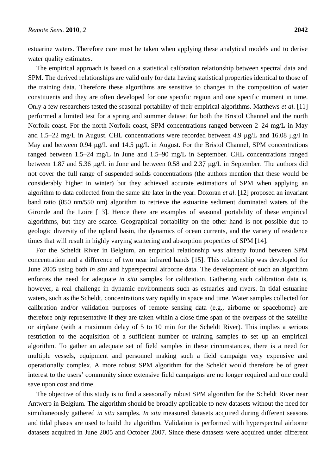estuarine waters. Therefore care must be taken when applying these analytical models and to derive water quality estimates.

The empirical approach is based on a statistical calibration relationship between spectral data and SPM. The derived relationships are valid only for data having statistical properties identical to those of the training data. Therefore these algorithms are sensitive to changes in the composition of water constituents and they are often developed for one specific region and one specific moment in time. Only a few researchers tested the seasonal portability of their empirical algorithms. Matthews *et al*. [11] performed a limited test for a spring and summer dataset for both the Bristol Channel and the north Norfolk coast. For the north Norfolk coast, SPM concentrations ranged between 2–24 mg/L in May and 1.5–22 mg/L in August. CHL concentrations were recorded between 4.9  $\mu$ g/L and 16.08  $\mu$ g/l in May and between 0.94  $\mu$ g/L and 14.5  $\mu$ g/L in August. For the Bristol Channel, SPM concentrations ranged between 1.5–24 mg/L in June and 1.5–90 mg/L in September. CHL concentrations ranged between 1.87 and 5.36  $\mu$ g/L in June and between 0.58 and 2.37  $\mu$ g/L in September. The authors did not cover the full range of suspended solids concentrations (the authors mention that these would be considerably higher in winter) but they achieved accurate estimations of SPM when applying an algorithm to data collected from the same site later in the year. Doxoran *et al*. [12] proposed an invariant band ratio (850 nm/550 nm) algorithm to retrieve the estuarine sediment dominated waters of the Gironde and the Loire [13]. Hence there are examples of seasonal portability of these empirical algorithms, but they are scarce. Geographical portability on the other hand is not possible due to geologic diversity of the upland basin, the dynamics of ocean currents, and the variety of residence times that will result in highly varying scattering and absorption properties of SPM [14].

For the Scheldt River in Belgium, an empirical relationship was already found between SPM concentration and a difference of two near infrared bands [15]. This relationship was developed for June 2005 using both *in situ* and hyperspectral airborne data. The development of such an algorithm enforces the need for adequate *in situ* samples for calibration. Gathering such calibration data is, however, a real challenge in dynamic environments such as estuaries and rivers. In tidal estuarine waters, such as the Scheldt, concentrations vary rapidly in space and time. Water samples collected for calibration and/or validation purposes of remote sensing data (e.g., airborne or spaceborne) are therefore only representative if they are taken within a close time span of the overpass of the satellite or airplane (with a maximum delay of 5 to 10 min for the Scheldt River). This implies a serious restriction to the acquisition of a sufficient number of training samples to set up an empirical algorithm. To gather an adequate set of field samples in these circumstances, there is a need for multiple vessels, equipment and personnel making such a field campaign very expensive and operationally complex. A more robust SPM algorithm for the Scheldt would therefore be of great interest to the users' community since extensive field campaigns are no longer required and one could save upon cost and time.

The objective of this study is to find a seasonally robust SPM algorithm for the Scheldt River near Antwerp in Belgium. The algorithm should be broadly applicable to new datasets without the need for simultaneously gathered *in situ* samples. *In situ* measured datasets acquired during different seasons and tidal phases are used to build the algorithm. Validation is performed with hyperspectral airborne datasets acquired in June 2005 and October 2007. Since these datasets were acquired under different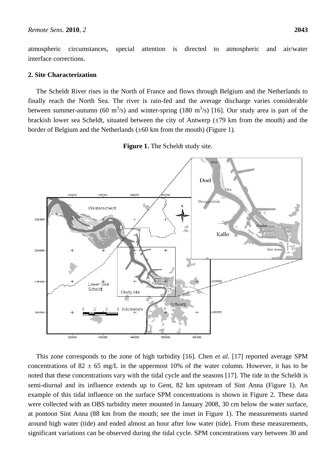atmospheric circumstances, special attention is directed to atmospheric and air/water interface corrections.

## **2. Site Characterization**

The Scheldt River rises in the North of France and flows through Belgium and the Netherlands to finally reach the North Sea. The river is rain-fed and the average discharge varies considerable between summer-autumn (60 m<sup>3</sup>/s) and winter-spring (180 m<sup>3</sup>/s) [16]. Our study area is part of the brackish lower sea Scheldt, situated between the city of Antwerp  $(\pm 79 \text{ km from the mouth})$  and the border of Belgium and the Netherlands (±60 km from the mouth) (Figure 1).

**Figure 1.** The Scheldt study site.



This zone corresponds to the zone of high turbidity [16]. Chen *et al*. [17] reported average SPM concentrations of 82  $\pm$  65 mg/L in the uppermost 10% of the water column. However, it has to be noted that these concentrations vary with the tidal cycle and the seasons [17]. The tide in the Scheldt is semi-diurnal and its influence extends up to Gent, 82 km upstream of Sint Anna (Figure 1). An example of this tidal influence on the surface SPM concentrations is shown in Figure 2. These data were collected with an OBS turbidity meter mounted in January 2008, 30 cm below the water surface, at pontoon Sint Anna (88 km from the mouth; see the inset in Figure 1). The measurements started around high water (tide) and ended almost an hour after low water (tide). From these measurements, significant variations can be observed during the tidal cycle. SPM concentrations vary between 30 and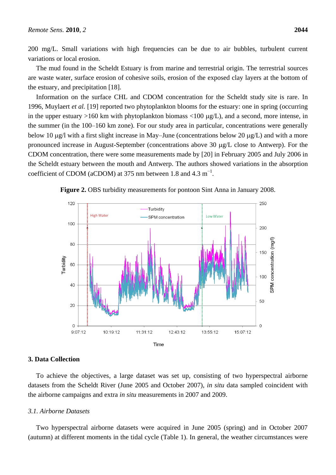200 mg/L. Small variations with high frequencies can be due to air bubbles, turbulent current variations or local erosion.

The mud found in the Scheldt Estuary is from marine and terrestrial origin. The terrestrial sources are waste water, surface erosion of cohesive soils, erosion of the exposed clay layers at the bottom of the estuary, and precipitation [18].

Information on the surface CHL and CDOM concentration for the Scheldt study site is rare. In 1996, Muylaert *et al.* [19] reported two phytoplankton blooms for the estuary: one in spring (occurring in the upper estuary >160 km with phytoplankton biomass <100  $\mu$ g/L), and a second, more intense, in the summer (in the 100–160 km zone). For our study area in particular, concentrations were generally below 10  $\mu$ g/l with a first slight increase in May–June (concentrations below 20  $\mu$ g/L) and with a more pronounced increase in August-September (concentrations above 30 µg/L close to Antwerp). For the CDOM concentration, there were some measurements made by [20] in February 2005 and July 2006 in the Scheldt estuary between the mouth and Antwerp. The authors showed variations in the absorption coefficient of CDOM (aCDOM) at 375 nm between 1.8 and 4.3  $m^{-1}$ .





# **3. Data Collection**

To achieve the objectives, a large dataset was set up, consisting of two hyperspectral airborne datasets from the Scheldt River (June 2005 and October 2007), *in situ* data sampled coincident with the airborne campaigns and extra *in situ* measurements in 2007 and 2009.

## *3.1. Airborne Datasets*

Two hyperspectral airborne datasets were acquired in June 2005 (spring) and in October 2007 (autumn) at different moments in the tidal cycle (Table 1). In general, the weather circumstances were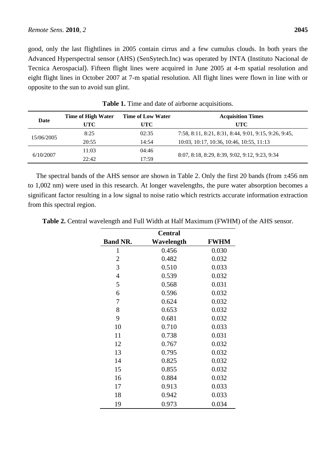good, only the last flightlines in 2005 contain cirrus and a few cumulus clouds. In both years the Advanced Hyperspectral sensor (AHS) (SenSytech.Inc) was operated by INTA (Instituto Nacional de Tecnica Aerospacial). Fifteen flight lines were acquired in June 2005 at 4-m spatial resolution and eight flight lines in October 2007 at 7-m spatial resolution. All flight lines were flown in line with or opposite to the sun to avoid sun glint.

| Date       | Time of High Water | <b>Time of Low Water</b> | <b>Acquisition Times</b>                              |  |
|------------|--------------------|--------------------------|-------------------------------------------------------|--|
|            | UTC                | UTC-                     | UTC-                                                  |  |
| 15/06/2005 | 8:25               | 02:35                    | 7:58, 8:11, 8:21, 8:31, 8:44, 9:01, 9:15, 9:26, 9:45, |  |
|            | 20:55              | 14:54                    | 10:03, 10:17, 10:36, 10:46, 10:55, 11:13              |  |
| 6/10/2007  | 11:03              | 04:46                    |                                                       |  |
|            | 22:42              | 17:59                    | 8:07, 8:18, 8:29, 8:39, 9:02, 9:12, 9:23, 9:34        |  |

**Table 1.** Time and date of airborne acquisitions.

The spectral bands of the AHS sensor are shown in Table 2. Only the first 20 bands (from  $\pm$ 456 nm to 1,002 nm) were used in this research. At longer wavelengths, the pure water absorption becomes a significant factor resulting in a low signal to noise ratio which restricts accurate information extraction from this spectral region.

| <b>Central</b>  |            |             |  |  |  |  |  |
|-----------------|------------|-------------|--|--|--|--|--|
| <b>Band NR.</b> | Wavelength | <b>FWHM</b> |  |  |  |  |  |
| 1               | 0.456      | 0.030       |  |  |  |  |  |
| $\overline{2}$  | 0.482      | 0.032       |  |  |  |  |  |
| 3               | 0.510      | 0.033       |  |  |  |  |  |
| $\overline{4}$  | 0.539      | 0.032       |  |  |  |  |  |
| 5               | 0.568      | 0.031       |  |  |  |  |  |
| 6               | 0.596      | 0.032       |  |  |  |  |  |
| 7               | 0.624      | 0.032       |  |  |  |  |  |
| 8               | 0.653      | 0.032       |  |  |  |  |  |
| 9               | 0.681      | 0.032       |  |  |  |  |  |
| 10              | 0.710      | 0.033       |  |  |  |  |  |
| 11              | 0.738      | 0.031       |  |  |  |  |  |
| 12              | 0.767      | 0.032       |  |  |  |  |  |
| 13              | 0.795      | 0.032       |  |  |  |  |  |
| 14              | 0.825      | 0.032       |  |  |  |  |  |
| 15              | 0.855      | 0.032       |  |  |  |  |  |
| 16              | 0.884      | 0.032       |  |  |  |  |  |
| 17              | 0.913      | 0.033       |  |  |  |  |  |
| 18              | 0.942      | 0.033       |  |  |  |  |  |
| 19              | 0.973      | 0.034       |  |  |  |  |  |

**Table 2.** Central wavelength and Full Width at Half Maximum (FWHM) of the AHS sensor.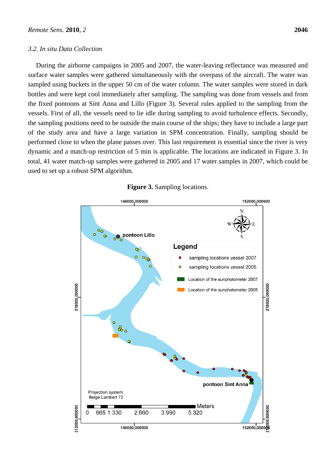## *3.2. In situ Data Collection*

During the airborne campaigns in 2005 and 2007, the water-leaving reflectance was measured and

surface water samples were gathered simultaneously with the overpass of the aircraft. The water was sampled using buckets in the upper 50 cm of the water column. The water samples were stored in dark bottles and were kept cool immediately after sampling. The sampling was done from vessels and from the fixed pontoons at Sint Anna and Lillo (Figure 3). Several rules applied to the sampling from the vessels. First of all, the vessels need to lie idle during sampling to avoid turbulence effects. Secondly, the sampling positions need to be outside the main course of the ships; they have to include a large part of the study area and have a large variation in SPM concentration. Finally, sampling should be performed close to when the plane passes over. This last requirement is essential since the river is very dynamic and a match-up restriction of 5 min is applicable. The locations are indicated in Figure 3. In total, 41 water match-up samples were gathered in 2005 and 17 water samples in 2007, which could be used to set up a robust SPM algorithm.



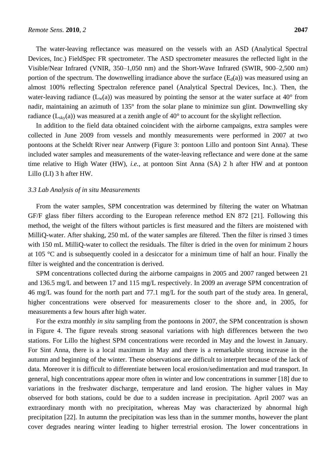The water-leaving reflectance was measured on the vessels with an ASD (Analytical Spectral Devices, Inc.) FieldSpec FR spectrometer. The ASD spectrometer measures the reflected light in the Visible/Near Infrared (VNIR, 350–1,050 nm) and the Short-Wave Infrared (SWIR, 900–2,500 nm) portion of the spectrum. The downwelling irradiance above the surface  $(E_d(a))$  was measured using an almost 100% reflecting Spectralon reference panel (Analytical Spectral Devices, Inc.). Then, the water-leaving radiance  $(L_w(a))$  was measured by pointing the sensor at the water surface at 40° from nadir, maintaining an azimuth of 135° from the solar plane to minimize sun glint. Downwelling sky radiance  $(L_{\rm sky}(a))$  was measured at a zenith angle of 40 $\degree$  to account for the skylight reflection.

In addition to the field data obtained coincident with the airborne campaigns, extra samples were collected in June 2009 from vessels and monthly measurements were performed in 2007 at two pontoons at the Scheldt River near Antwerp (Figure 3: pontoon Lillo and pontoon Sint Anna). These included water samples and measurements of the water-leaving reflectance and were done at the same time relative to High Water (HW), *i.e.*, at pontoon Sint Anna (SA) 2 h after HW and at pontoon Lillo (LI) 3 h after HW.

## *3.3 Lab Analysis of in situ Measurements*

From the water samples, SPM concentration was determined by filtering the water on Whatman GF/F glass fiber filters according to the European reference method EN 872 [21]. Following this method, the weight of the filters without particles is first measured and the filters are moistened with MilliQ-water. After shaking, 250 mL of the water samples are filtered. Then the filter is rinsed 3 times with 150 mL MilliQ-water to collect the residuals. The filter is dried in the oven for minimum 2 hours at 105 °C and is subsequently cooled in a desiccator for a minimum time of half an hour. Finally the filter is weighted and the concentration is derived.

SPM concentrations collected during the airborne campaigns in 2005 and 2007 ranged between 21 and 136.5 mg/L and between 17 and 115 mg/L respectively. In 2009 an average SPM concentration of 46 mg/L was found for the north part and 77.1 mg/L for the south part of the study area. In general, higher concentrations were observed for measurements closer to the shore and, in 2005, for measurements a few hours after high water.

For the extra monthly *in situ* sampling from the pontoons in 2007, the SPM concentration is shown in Figure 4. The figure reveals strong seasonal variations with high differences between the two stations. For Lillo the highest SPM concentrations were recorded in May and the lowest in January. For Sint Anna, there is a local maximum in May and there is a remarkable strong increase in the autumn and beginning of the winter. These observations are difficult to interpret because of the lack of data. Moreover it is difficult to differentiate between local erosion/sedimentation and mud transport. In general, high concentrations appear more often in winter and low concentrations in summer [18] due to variations in the freshwater discharge, temperature and land erosion. The higher values in May observed for both stations, could be due to a sudden increase in precipitation. April 2007 was an extraordinary month with no precipitation, whereas May was characterized by abnormal high precipitation [22]. In autumn the precipitation was less than in the summer months, however the plant cover degrades nearing winter leading to higher terrestrial erosion. The lower concentrations in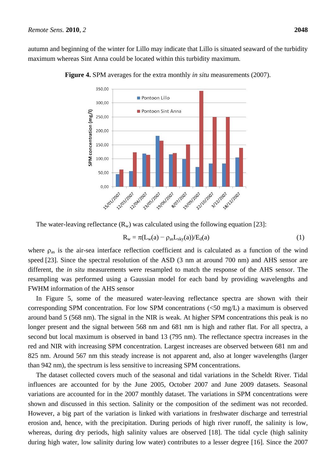autumn and beginning of the winter for Lillo may indicate that Lillo is situated seaward of the turbidity maximum whereas Sint Anna could be located within this turbidity maximum.



**Figure 4.** SPM averages for the extra monthly *in situ* measurements (2007).

The water-leaving reflectance  $(R_w)$  was calculated using the following equation [23]:

$$
R_w = \pi(L_w(a) - \rho_{as}L_{sky}(a))/E_d(a)
$$
\n(1)

where  $\rho_{as}$  is the air-sea interface reflection coefficient and is calculated as a function of the wind speed [23]. Since the spectral resolution of the ASD (3 nm at around 700 nm) and AHS sensor are different, the *in situ* measurements were resampled to match the response of the AHS sensor. The resampling was performed using a Gaussian model for each band by providing wavelengths and FWHM information of the AHS sensor

In Figure 5, some of the measured water-leaving reflectance spectra are shown with their corresponding SPM concentration. For low SPM concentrations (<50 mg/L) a maximum is observed around band 5 (568 nm). The signal in the NIR is weak. At higher SPM concentrations this peak is no longer present and the signal between 568 nm and 681 nm is high and rather flat. For all spectra, a second but local maximum is observed in band 13 (795 nm). The reflectance spectra increases in the red and NIR with increasing SPM concentration. Largest increases are observed between 681 nm and 825 nm. Around 567 nm this steady increase is not apparent and, also at longer wavelengths (larger than 942 nm), the spectrum is less sensitive to increasing SPM concentrations.

The dataset collected covers much of the seasonal and tidal variations in the Scheldt River. Tidal influences are accounted for by the June 2005, October 2007 and June 2009 datasets. Seasonal variations are accounted for in the 2007 monthly dataset. The variations in SPM concentrations were shown and discussed in this section. Salinity or the composition of the sediment was not recorded. However, a big part of the variation is linked with variations in freshwater discharge and terrestrial erosion and, hence, with the precipitation. During periods of high river runoff, the salinity is low, whereas, during dry periods, high salinity values are observed [18]. The tidal cycle (high salinity during high water, low salinity during low water) contributes to a lesser degree [16]. Since the 2007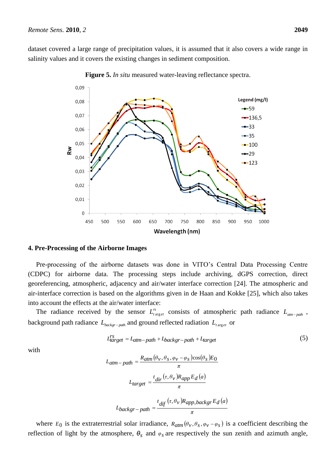dataset covered a large range of precipitation values, it is assumed that it also covers a wide range in salinity values and it covers the existing changes in sediment composition.



**Figure 5.** *In situ* measured water-leaving reflectance spectra.

#### **4. Pre-Processing of the Airborne Images**

Pre-processing of the airborne datasets was done in VITO's Central Data Processing Centre (CDPC) for airborne data. The processing steps include archiving, dGPS correction, direct georeferencing, atmospheric, adjacency and air/water interface correction [24]. The atmospheric and air-interface correction is based on the algorithms given in de Haan and Kokke [25], which also takes into account the effects at the air/water interface:

The radiance received by the sensor  $L_{target}^{rs}$  consists of atmospheric path radiance  $L_{atm-path}$ , background path radiance  $L_{\text{background}}$  and ground reflected radiation  $L_{\text{target}}$  or

$$
L_{target}^{rs} = L_{atm-path} + L_{background} + L_{target}
$$
 (5)

with

$$
L_{atm-path} = \frac{R_{atm}(\theta_v, \theta_s, \varphi_v - \varphi_s)\cos(\theta_s)E_0}{\pi}
$$

$$
L_{target} = \frac{t_{dir}(\tau, \theta_v)R_{app}E_d(a)}{\pi}
$$

$$
L_{background} = \frac{t_{diff}(\tau, \theta_v)R_{app,backgr}E_d(a)}{\pi}
$$

where  $E_0$  is the extraterrestrial solar irradiance,  $R_{atm}(\theta_v, \theta_s, \varphi_v - \varphi_s)$  is a coefficient describing the reflection of light by the atmosphere,  $\theta_s$  and  $\varphi_s$  are respectively the sun zenith and azimuth angle,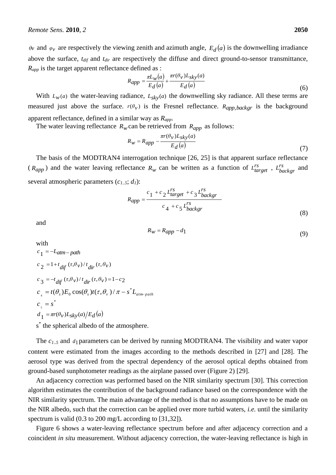*θv* and  $\varphi$ *v* are respectively the viewing zenith and azimuth angle,  $E_d(a)$  is the downwelling irradiance above the surface, *tdif* and *tdir* are respectively the diffuse and direct ground-to-sensor transmittance, *Rapp* is the target apparent reflectance defined as :

$$
R_{app} = \frac{\pi L_w(a)}{E_d(a)} + \frac{\pi r(\theta_v) L_{sky}(a)}{E_d(a)}
$$
\n
$$
(6)
$$

With  $L_w(a)$  the water-leaving radiance,  $L_{sky}(a)$  the downwelling sky radiance. All these terms are measured just above the surface.  $r(\theta_v)$  is the Fresnel reflectance.  $R_{app,backgr}$  is the background apparent reflectance, defined in a similar way as *Rapp*.

The water leaving reflectance  $R_w$  can be retrieved from  $R_{app}$  as follows:

$$
R_W = R_{app} - \frac{\pi r(\theta_V) L_{sky}(a)}{E_d(a)}
$$
\n<sup>(7)</sup>

The basis of the MODTRAN4 interrogation technique [26, 25] is that apparent surface reflectance  $(R_{app})$  and the water leaving reflectance  $R_w$  can be written as a function of  $L_{target}^{rs}$ ,  $L_{background}^{rs}$  and several atmospheric parameters (*c1..5*; *d1*):

$$
R_{app} = \frac{c_1 + c_2 L_{target}^{rs} + c_3 L_{background}}{c_4 + c_5 L_{background}} \tag{8}
$$

and

with

$$
R_W = R_{app} - d_1 \tag{9}
$$

$$
c_1 = -L_{atm-path}
$$
  
\n
$$
c_2 = 1 + t_{dif} (\tau, \theta_V) / t_{dir} (\tau, \theta_V)
$$
  
\n
$$
c_3 = -t_{dif} (\tau, \theta_V) / t_{dir} (\tau, \theta_V) = 1 - c_2
$$
  
\n
$$
c_4 = t(\theta_s) E_0 \cos(\theta_s) t(\tau, \theta_V) / \pi - s^* L_{atm-path}
$$
  
\n
$$
c_5 = s^*
$$
  
\n
$$
d_1 = \pi r(\theta_V) L_{sky}(a) / E_d(a)
$$
  
\n
$$
s^*
$$
 the spherical albedo of the atmosphere.

The  $c_{1.5}$  and  $d_1$  parameters can be derived by running MODTRAN4. The visibility and water vapor content were estimated from the images according to the methods described in [27] and [28]. The aerosol type was derived from the spectral dependency of the aerosol optical depths obtained from ground-based sunphotometer readings as the airplane passed over (Figure 2) [29].

An adjacency correction was performed based on the NIR similarity spectrum [30]. This correction algorithm estimates the contribution of the background radiance based on the correspondence with the NIR similarity spectrum. The main advantage of the method is that no assumptions have to be made on the NIR albedo, such that the correction can be applied over more turbid waters, *i.e.* until the similarity spectrum is valid (0.3 to 200 mg/L according to [31,32]).

Figure 6 shows a water-leaving reflectance spectrum before and after adjacency correction and a coincident *in situ* measurement. Without adjacency correction, the water-leaving reflectance is high in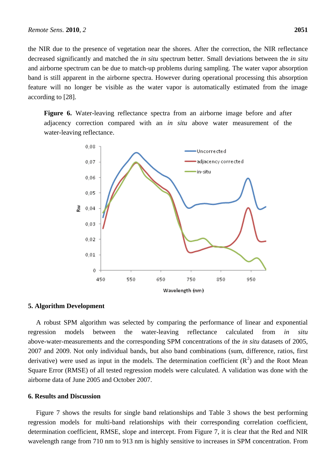the NIR due to the presence of vegetation near the shores. After the correction, the NIR reflectance decreased significantly and matched the *in situ* spectrum better. Small deviations between the *in situ* and airborne spectrum can be due to match-up problems during sampling. The water vapor absorption band is still apparent in the airborne spectra. However during operational processing this absorption feature will no longer be visible as the water vapor is automatically estimated from the image according to [28].

**Figure 6.** Water-leaving reflectance spectra from an airborne image before and after adjacency correction compared with an *in situ* above water measurement of the water-leaving reflectance.



## **5. Algorithm Development**

A robust SPM algorithm was selected by comparing the performance of linear and exponential regression models between the water-leaving reflectance calculated from *in situ* above-water-measurements and the corresponding SPM concentrations of the *in situ* datasets of 2005, 2007 and 2009. Not only individual bands, but also band combinations (sum, difference, ratios, first derivative) were used as input in the models. The determination coefficient  $(R^2)$  and the Root Mean Square Error (RMSE) of all tested regression models were calculated. A validation was done with the airborne data of June 2005 and October 2007.

## **6. Results and Discussion**

Figure 7 shows the results for single band relationships and Table 3 shows the best performing regression models for multi-band relationships with their corresponding correlation coefficient, determination coefficient, RMSE, slope and intercept. From Figure 7, it is clear that the Red and NIR wavelength range from 710 nm to 913 nm is highly sensitive to increases in SPM concentration. From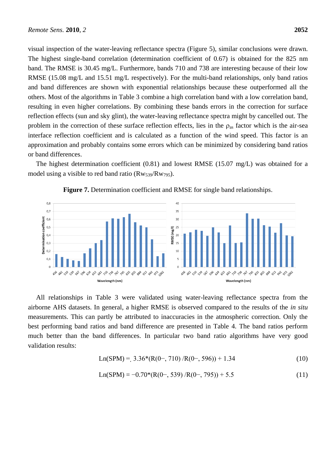visual inspection of the water-leaving reflectance spectra (Figure 5), similar conclusions were drawn. The highest single-band correlation (determination coefficient of 0.67) is obtained for the 825 nm band. The RMSE is 30.45 mg/L. Furthermore, bands 710 and 738 are interesting because of their low RMSE (15.08 mg/L and 15.51 mg/L respectively). For the multi-band relationships, only band ratios and band differences are shown with exponential relationships because these outperformed all the others. Most of the algorithms in Table 3 combine a high correlation band with a low correlation band, resulting in even higher correlations. By combining these bands errors in the correction for surface reflection effects (sun and sky glint), the water-leaving reflectance spectra might by cancelled out. The problem in the correction of these surface reflection effects, lies in the  $\rho_{as}$  factor which is the air-sea interface reflection coefficient and is calculated as a function of the wind speed. This factor is an approximation and probably contains some errors which can be minimized by considering band ratios or band differences.

The highest determination coefficient  $(0.81)$  and lowest RMSE  $(15.07 \text{ mg/L})$  was obtained for a model using a visible to red band ratio ( $\text{Rw}_{539}/\text{Rw}_{795}$ ).



**Figure 7.** Determination coefficient and RMSE for single band relationships.

All relationships in Table 3 were validated using water-leaving reflectance spectra from the airborne AHS datasets. In general, a higher RMSE is observed compared to the results of the *in situ* measurements. This can partly be attributed to inaccuracies in the atmospheric correction. Only the best performing band ratios and band difference are presented in Table 4. The band ratios perform much better than the band differences. In particular two band ratio algorithms have very good validation results:

$$
Ln(SPM) = 3.36*(R(0-, 710) / R(0-, 596)) + 1.34
$$
 (10)

$$
Ln(SPM) = -0.70*(R(0-, 539) / R(0-, 795)) + 5.5
$$
\n(11)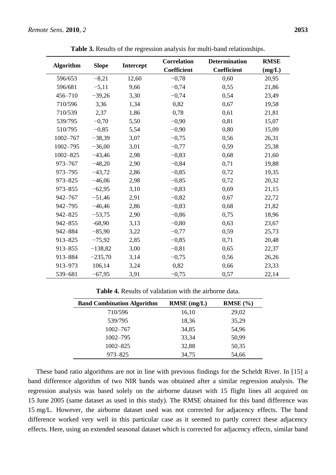|                  | <b>Slope</b> | <b>Intercept</b> | <b>Correlation</b> | <b>Determination</b> | <b>RMSE</b> |
|------------------|--------------|------------------|--------------------|----------------------|-------------|
| <b>Algorithm</b> |              |                  | Coefficient        | <b>Coefficient</b>   | (mg/L)      |
| 596/653          | $-8,21$      | 12,60            | $-0,78$            | 0,60                 | 20,95       |
| 596/681          | $-5,11$      | 9,66             | $-0,74$            | 0,55                 | 21,86       |
| 456-710          | $-39,26$     | 3,30             | $-0,74$            | 0,54                 | 23,49       |
| 710/596          | 3,36         | 1,34             | 0,82               | 0,67                 | 19,58       |
| 710/539          | 2,37         | 1,86             | 0,78               | 0,61                 | 21,81       |
| 539/795          | $-0,70$      | 5,50             | $-0,90$            | 0,81                 | 15,07       |
| 510/795          | $-0,85$      | 5,54             | $-0,90$            | 0,80                 | 15,09       |
| $1002 - 767$     | $-38,39$     | 3,07             | $-0,75$            | 0,56                 | 26,31       |
| 1002-795         | $-36,00$     | 3,01             | $-0,77$            | 0,59                 | 25,38       |
| 1002-825         | $-43,46$     | 2,98             | $-0,83$            | 0,68                 | 21,60       |
| 973-767          | $-48,20$     | 2,90             | $-0,84$            | 0,71                 | 19,88       |
| 973-795          | $-43,72$     | 2,86             | $-0,85$            | 0,72                 | 19,35       |
| 973-825          | $-46,06$     | 2,98             | $-0,85$            | 0,72                 | 20,32       |
| 973-855          | $-62,95$     | 3,10             | $-0,83$            | 0,69                 | 21,15       |
| 942-767          | $-51,46$     | 2,91             | $-0,82$            | 0,67                 | 22,72       |
| 942-795          | $-46,46$     | 2,86             | $-0,83$            | 0,68                 | 21,82       |
| 942-825          | $-53,75$     | 2,90             | $-0,86$            | 0,75                 | 18,96       |
| 942-855          | $-68,90$     | 3,13             | $-0,80$            | 0,63                 | 23,67       |
| 942-884          | $-85,90$     | 3,22             | $-0,77$            | 0,59                 | 25,73       |
| 913-825          | $-75,92$     | 2,85             | $-0,85$            | 0,71                 | 20,48       |
| 913-855          | $-138,82$    | 3,00             | $-0,81$            | 0,65                 | 22,37       |
| 913-884          | $-235,70$    | 3,14             | $-0,75$            | 0,56                 | 26,26       |
| 913-973          | 106,14       | 3,24             | 0,82               | 0,66                 | 23,33       |
| 539-681          | $-67,95$     | 3,91             | $-0,75$            | 0,57                 | 22,14       |

**Table 3.** Results of the regression analysis for multi-band relationships.

**Table 4.** Results of validation with the airborne data.

| <b>Band Combination Algorithm</b> | $RMSE$ (mg/L) | RMSE(%) |
|-----------------------------------|---------------|---------|
| 710/596                           | 16,10         | 29,02   |
| 539/795                           | 18,36         | 35,29   |
| $1002 - 767$                      | 34,85         | 54,96   |
| $1002 - 795$                      | 33,34         | 50,99   |
| $1002 - 825$                      | 32,88         | 50,35   |
| 973-825                           | 34,75         | 54,66   |

These band ratio algorithms are not in line with previous findings for the Scheldt River. In [15] a band difference algorithm of two NIR bands was obtained after a similar regression analysis. The regression analysis was based solely on the airborne dataset with 15 flight lines all acquired on 15 June 2005 (same dataset as used in this study). The RMSE obtained for this band difference was 15 mg/L. However, the airborne dataset used was not corrected for adjacency effects. The band difference worked very well in this particular case as it seemed to partly correct these adjacency effects. Here, using an extended seasonal dataset which is corrected for adjacency effects, similar band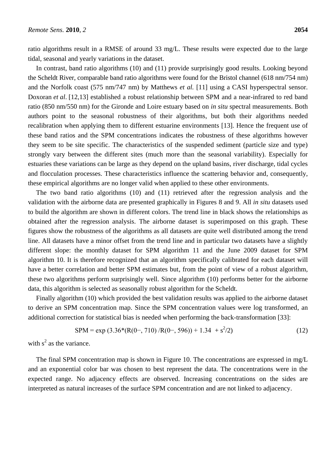ratio algorithms result in a RMSE of around 33 mg/L. These results were expected due to the large tidal, seasonal and yearly variations in the dataset.

In contrast, band ratio algorithms (10) and (11) provide surprisingly good results. Looking beyond the Scheldt River, comparable band ratio algorithms were found for the Bristol channel (618 nm/754 nm) and the Norfolk coast (575 nm/747 nm) by Matthews *et al.* [11] using a CASI hyperspectral sensor. Doxoran *et al*. [12,13] established a robust relationship between SPM and a near-infrared to red band ratio (850 nm/550 nm) for the Gironde and Loire estuary based on *in situ* spectral measurements. Both authors point to the seasonal robustness of their algorithms, but both their algorithms needed recalibration when applying them to different estuarine environments [13]. Hence the frequent use of these band ratios and the SPM concentrations indicates the robustness of these algorithms however they seem to be site specific. The characteristics of the suspended sediment (particle size and type) strongly vary between the different sites (much more than the seasonal variability). Especially for estuaries these variations can be large as they depend on the upland basins, river discharge, tidal cycles and flocculation processes. These characteristics influence the scattering behavior and, consequently, these empirical algorithms are no longer valid when applied to these other environments.

The two band ratio algorithms (10) and (11) retrieved after the regression analysis and the validation with the airborne data are presented graphically in Figures 8 and 9. All *in situ* datasets used to build the algorithm are shown in different colors. The trend line in black shows the relationships as obtained after the regression analysis. The airborne dataset is superimposed on this graph. These figures show the robustness of the algorithms as all datasets are quite well distributed among the trend line. All datasets have a minor offset from the trend line and in particular two datasets have a slightly different slope: the monthly dataset for SPM algorithm 11 and the June 2009 dataset for SPM algorithm 10. It is therefore recognized that an algorithm specifically calibrated for each dataset will have a better correlation and better SPM estimates but, from the point of view of a robust algorithm, these two algorithms perform surprisingly well. Since algorithm (10) performs better for the airborne data, this algorithm is selected as seasonally robust algorithm for the Scheldt.

Finally algorithm (10) which provided the best validation results was applied to the airborne dataset to derive an SPM concentration map. Since the SPM concentration values were log transformed, an additional correction for statistical bias is needed when performing the back-transformation [33]:

$$
SPM = \exp(3.36*(R(0-, 710) / R(0-, 596)) + 1.34 + s^2/2)
$$
\n(12)

with  $s^2$  as the variance.

The final SPM concentration map is shown in Figure 10. The concentrations are expressed in mg/L and an exponential color bar was chosen to best represent the data. The concentrations were in the expected range. No adjacency effects are observed. Increasing concentrations on the sides are interpreted as natural increases of the surface SPM concentration and are not linked to adjacency.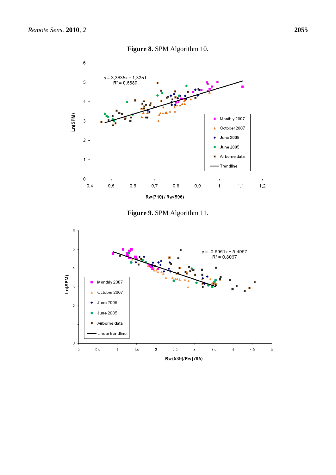





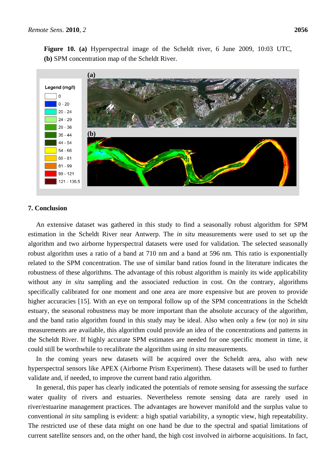

# **7. Conclusion**

An extensive dataset was gathered in this study to find a seasonally robust algorithm for SPM estimation in the Scheldt River near Antwerp. The *in situ* measurements were used to set up the algorithm and two airborne hyperspectral datasets were used for validation. The selected seasonally robust algorithm uses a ratio of a band at 710 nm and a band at 596 nm. This ratio is exponentially related to the SPM concentration. The use of similar band ratios found in the literature indicates the robustness of these algorithms. The advantage of this robust algorithm is mainly its wide applicability without any *in situ* sampling and the associated reduction in cost. On the contrary, algorithms specifically calibrated for one moment and one area are more expensive but are proven to provide higher accuracies [15]. With an eye on temporal follow up of the SPM concentrations in the Scheldt estuary, the seasonal robustness may be more important than the absolute accuracy of the algorithm, and the band ratio algorithm found in this study may be ideal. Also when only a few (or no) *in situ* measurements are available, this algorithm could provide an idea of the concentrations and patterns in the Scheldt River. If highly accurate SPM estimates are needed for one specific moment in time, it could still be worthwhile to recalibrate the algorithm using *in situ* measurements.

In the coming years new datasets will be acquired over the Scheldt area, also with new hyperspectral sensors like APEX (Airborne Prism Experiment). These datasets will be used to further validate and, if needed, to improve the current band ratio algorithm.

In general, this paper has clearly indicated the potentials of remote sensing for assessing the surface water quality of rivers and estuaries. Nevertheless remote sensing data are rarely used in river/estuarine management practices. The advantages are however manifold and the surplus value to conventional *in situ* sampling is evident: a high spatial variability, a synoptic view, high repeatability. The restricted use of these data might on one hand be due to the spectral and spatial limitations of current satellite sensors and, on the other hand, the high cost involved in airborne acquisitions. In fact,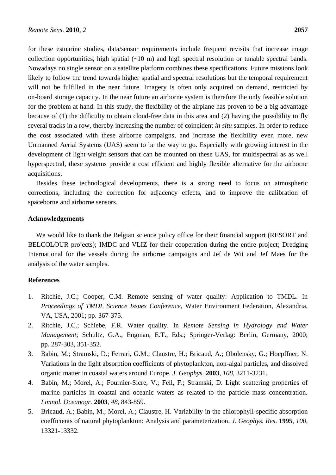for these estuarine studies, data/sensor requirements include frequent revisits that increase image collection opportunities, high spatial  $(\sim 10 \text{ m})$  and high spectral resolution or tunable spectral bands. Nowadays no single sensor on a satellite platform combines these specifications. Future missions look likely to follow the trend towards higher spatial and spectral resolutions but the temporal requirement will not be fulfilled in the near future. Imagery is often only acquired on demand, restricted by on-board storage capacity. In the near future an airborne system is therefore the only feasible solution for the problem at hand. In this study, the flexibility of the airplane has proven to be a big advantage because of (1) the difficulty to obtain cloud-free data in this area and (2) having the possibility to fly several tracks in a row, thereby increasing the number of coincident *in situ* samples. In order to reduce the cost associated with these airborne campaigns, and increase the flexibility even more, new Unmanned Aerial Systems (UAS) seem to be the way to go. Especially with growing interest in the development of light weight sensors that can be mounted on these UAS, for multispectral as as well hyperspectral, these systems provide a cost efficient and highly flexible alternative for the airborne acquisitions.

Besides these technological developments, there is a strong need to focus on atmospheric corrections, including the correction for adjacency effects, and to improve the calibration of spaceborne and airborne sensors.

## **Acknowledgements**

We would like to thank the Belgian science policy office for their financial support (RESORT and BELCOLOUR projects); IMDC and VLIZ for their cooperation during the entire project; Dredging International for the vessels during the airborne campaigns and Jef de Wit and Jef Maes for the analysis of the water samples.

## **References**

- 1. Ritchie, J.C.; Cooper, C.M. Remote sensing of water quality: Application to TMDL. In *Proceedings of TMDL Science Issues Conference*, Water Environment Federation, Alexandria, VA, USA, 2001; pp. 367-375.
- 2. Ritchie, J.C.; Schiebe, F.R. Water quality. In *Remote Sensing in Hydrology and Water Management*; Schultz, G.A., Engman, E.T., Eds.; Springer-Verlag: Berlin, Germany, 2000; pp. 287-303, 351-352.
- 3. Babin, M.; Stramski, D.; Ferrari, G.M.; Claustre, H.; Bricaud, A.; Obolensky, G.; Hoepffner, N. Variations in the light absorption coefficients of phytoplankton, non-algal particles, and dissolved organic matter in coastal waters around Europe. *J. Geophys.* **2003**, *108*, 3211-3231.
- 4. Babin, M.; Morel, A.; Fournier-Sicre, V.; Fell, F.; Stramski, D. Light scattering properties of marine particles in coastal and oceanic waters as related to the particle mass concentration. *Limnol. Oceanogr.* **2003**, *48*, 843-859.
- 5. Bricaud, A.; Babin, M.; Morel, A.; Claustre, H. Variability in the chlorophyll-specific absorption coefficients of natural phytoplankton: Analysis and parameterization. *J. Geophys. Res*. **1995**, *100*, 13321-13332.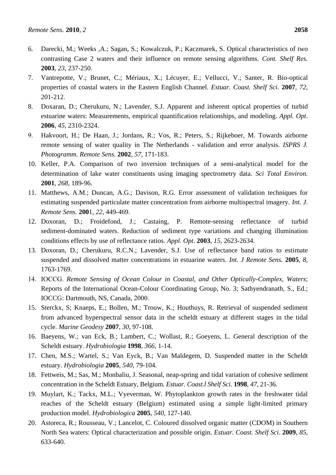- 6. Darecki, M.; Weeks ,A.; Sagan, S.; Kowalczuk, P.; Kaczmarek, S. Optical characteristics of two contrasting Case 2 waters and their influence on remote sensing algorithms. *Cont. Shelf Res.*  **2003**, *23*, 237-250.
- 7. Vantrepotte, V.; Brunet, C.; Mériaux, X.; Lécuyer, E.; Vellucci, V.; Santer, R. Bio-optical properties of coastal waters in the Eastern English Channel. *Estuar. Coast. Shelf Sci*. **2007**, *72*, 201-212.
- 8. Doxaran, D.; Cherukuru, N.; Lavender, S.J*.* Apparent and inherent optical properties of turbid estuarine waters: Measurements, empirical quantification relationships, and modeling. *Appl. Opt*. **2006**, *45*, 2310-2324.
- 9. Hakvoort, H.; De Haan, J.; Jordans, R.; Vos, R.; Peters, S.; Rijkeboer, M. Towards airborne remote sensing of water quality in The Netherlands - validation and error analysis. *ISPRS J. Photogramm. Remote Sens.* **2002**, *57*, 171-183.
- 10. Keller, P.A. Comparison of two inversion techniques of a semi-analytical model for the determination of lake water constituents using imaging spectrometry data. *Sci Total Environ.* **2001**, *268*, 189-96.
- 11. Matthews, A.M.; Duncan, A.G.; Davison, R.G. Error assessment of validation techniques for estimating suspended particulate matter concentration from airborne multispectral imagery. *Int. J. Remote Sens.* **200**1, *22*, 449-469.
- 12. Doxoran, D.; Froidefond, J.; Castaing, P. Remote-sensing reflectance of turbid sediment-dominated waters. Reduction of sediment type variations and changing illumination conditions effects by use of reflectance ratios. *Appl. Opt*. **2003**, *15*, 2623-2634.
- 13. Doxoran, D.; Cherukuru, R.C.N.; Lavender, S.J. Use of reflectance band ratios to estimate suspended and dissolved matter concentrations in estuarine waters. *Int. J Remote Sens.* **2005**, *8*, 1763-1769.
- 14. IOCCG. *Remote Sensing of Ocean Colour in Coastal, and Other Optically-Complex, Waters*; Reports of the International Ocean-Colour Coordinating Group, No. 3; Sathyendranath, S., Ed.; IOCCG: Dartmouth, NS, Canada, 2000.
- 15. Sterckx, S; Knaeps, E.; Bollen, M.; Trouw, K.; Houthuys, R. Retrieval of suspended sediment from advanced hyperspectral sensor data in the scheldt estuary at different stages in the tidal cycle. *[Marine Geodesy](http://www.informaworld.com/smpp/title~content=t713657895~db=all)* **2007**, *30*, 97-108.
- 16. Baeyens, W.; van Eck, B.; Lambert, C.; Wollast, R.; Goeyens, L. General description of the Scheldt estuary. *Hydrobiologia* **1998**, *366*, 1-14.
- 17. Chen, M.S.; Wartel, S.; Van Eyck, B.; Van Maldegem, D. Suspended matter in the Scheldt estuary. *Hydrobiologia* **2005**, *540*, 79-104.
- 18. Fettweis, M.; Sas, M.; Monbaliu, J. Seasonal, neap-spring and tidal variation of cohesive sediment concentration in the Scheldt Estuary, Belgium. *Estuar. Coast.l Shelf Sci*. **1998**, *47*, 21-36.
- 19. Muylart, K.; Tackx, M.L.; Vyeverman, W. Phytoplankton growth rates in the freshwater tidal reaches of the Scheldt estuary (Belgium) estimated using a simple light-limited primary production model. *Hydrobiologica* **2005**, *540*, 127-140.
- 20. Astoreca, R.; Rousseau, V.; Lancelot, C. Coloured dissolved organic matter (CDOM) in Southern North Sea waters: Optical characterization and possible origin. *Estuar. Coast. Shelf Sci*. **2009**, *85*, 633-640.